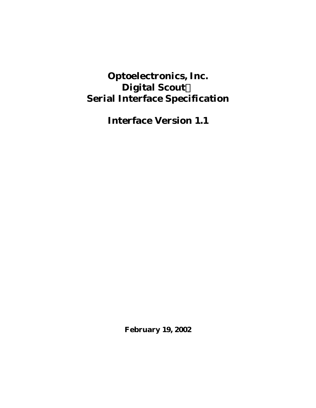# **Optoelectronics, Inc. Digital ScoutÔ Serial Interface Specification**

**Interface Version 1.1**

**February 19, 2002**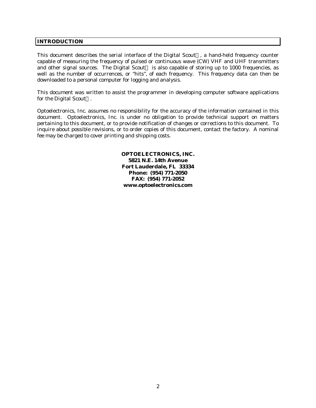## **INTRODUCTION**

This document describes the serial interface of the Digital Scout<sup> $M$ </sup>, a hand-held frequency counter capable of measuring the frequency of pulsed or continuous wave (CW) VHF and UHF transmitters and other signal sources. The Digital Scout™ is also capable of storing up to 1000 frequencies, as well as the number of occurrences, or "hits", of each frequency. This frequency data can then be downloaded to a personal computer for logging and analysis.

This document was written to assist the programmer in developing computer software applications for the Digital Scout<sup>TM</sup>.

Optoelectronics, Inc. assumes no responsibility for the accuracy of the information contained in this document. Optoelectronics, Inc. is under no obligation to provide technical support on matters pertaining to this document, or to provide notification of changes or corrections to this document. To inquire about possible revisions, or to order copies of this document, contact the factory. A nominal fee may be charged to cover printing and shipping costs.

> **OPTOELECTRONICS, INC. 5821 N.E. 14th Avenue Fort Lauderdale, FL 33334 Phone: (954) 771-2050 FAX: (954) 771-2052 www.optoelectronics.com**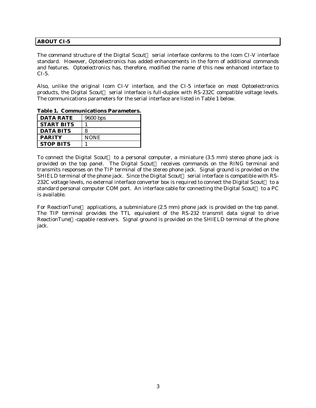## **ABOUT CI-5**

The command structure of the Digital Scout<sup> $TM$ </sup> serial interface conforms to the Icom CI-V interface standard. However, Optoelectronics has added enhancements in the form of additional commands and features. Optoelectronics has, therefore, modified the name of this new enhanced interface to CI-5.

Also, unlike the original Icom CI-V interface, and the CI-5 interface on most Optoelectronics products, the Digital Scout<sup>™</sup> serial interface is full-duplex with RS-232C compatible voltage levels. The communications parameters for the serial interface are listed in Table 1 below.

| <b>DATA RATE</b>  | 9600 bps    |
|-------------------|-------------|
| <b>START BITS</b> |             |
| <b>DATA BITS</b>  | 8           |
| <b>PARITY</b>     | <b>NONE</b> |
| <b>STOP BITS</b>  |             |

**Table 1. Communications Parameters.**

To connect the Digital Scout<sup> $M$ </sup> to a personal computer, a miniature (3.5 mm) stereo phone jack is provided on the top panel. The Digital Scout<sup>™</sup> receives commands on the RING terminal and transmits responses on the TIP terminal of the stereo phone jack. Signal ground is provided on the SHIELD terminal of the phone jack. Since the Digital Scout<sup>TM</sup> serial interface is compatible with RS-232C voltage levels, no external interface converter box is required to connect the Digital Scout<sup> $M$ </sup> to a standard personal computer COM port. An interface cable for connecting the Digital Scout<sup>™</sup> to a PC is available.

For ReactionTune<sup> $M$ </sup> applications, a subminiature (2.5 mm) phone jack is provided on the top panel. The TIP terminal provides the TTL equivalent of the RS-232 transmit data signal to drive ReactionTune<sup> $TM$ </sup>-capable receivers. Signal ground is provided on the SHIELD terminal of the phone jack.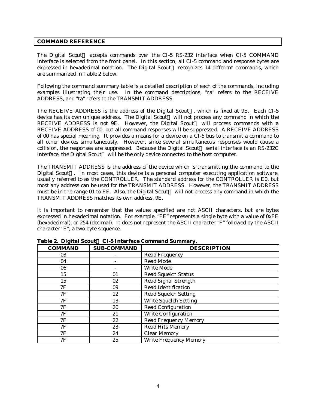### **COMMAND REFERENCE**

The Digital Scout<sup> $M$ </sup> accepts commands over the CI-5 RS-232 interface when CI-5 COMMAND interface is selected from the front panel. In this section, all CI-5 command and response bytes are expressed in hexadecimal notation. The Digital Scout<sup>TM</sup> recognizes 14 different commands, which are summarized in Table 2 below.

Following the command summary table is a detailed description of each of the commands, including examples illustrating their use. In the command descriptions, "ra" refers to the RECEIVE ADDRESS, and "ta" refers to the TRANSMIT ADDRESS.

The RECEIVE ADDRESS is the address of the Digital Scout<sup> $m$ </sup>, which is fixed at 9E. Each CI-5 device has its own unique address. The Digital Scout™ will not process any command in which the RECEIVE ADDRESS is not 9E. However, the Digital Scout<sup>TM</sup> will process commands with a RECEIVE ADDRESS of 00, but all command responses will be suppressed. A RECEIVE ADDRESS of 00 has special meaning. It provides a means for a device on a CI-5 bus to transmit a command to all other devices simultaneously. However, since several simultaneous responses would cause a collision, the responses are suppressed. Because the Digital Scout<sup> $M$ </sup> serial interface is an RS-232C interface, the Digital Scout<sup>TM</sup> will be the only device connected to the host computer.

The TRANSMIT ADDRESS is the address of the device which is transmitting the command to the Digital Scout<sup> $M$ </sup>. In most cases, this device is a personal computer executing application software, usually referred to as the CONTROLLER. The standard address for the CONTROLLER is E0, but most any address can be used for the TRANSMIT ADDRESS. However, the TRANSMIT ADDRESS must be in the range 01 to EF. Also, the Digital Scout<sup>TM</sup> will not process any command in which the TRANSMIT ADDRESS matches its own address, 9E.

It is important to remember that the values specified are not ASCII characters, but are bytes expressed in hexadecimal notation. For example, "FE" represents a single byte with a value of 0xFE (hexadecimal), or 254 (decimal). It does not represent the ASCII character "F" followed by the ASCII character "E", a two-byte sequence.

| o<br><b>COMMAND</b> | <b>SUB-COMMAND</b> | <b>DESCRIPTION</b>            |
|---------------------|--------------------|-------------------------------|
| 03                  |                    | <b>Read Frequency</b>         |
| 04                  |                    | <b>Read Mode</b>              |
| 06                  |                    | <b>Write Mode</b>             |
| 15                  | 01                 | <b>Read Squelch Status</b>    |
| 15                  | 02                 | <b>Read Signal Strength</b>   |
| 7F                  | 09                 | <b>Read Identification</b>    |
| 7F                  | 12                 | <b>Read Squelch Setting</b>   |
| 7F                  | 13                 | <b>Write Squelch Setting</b>  |
| 7F                  | 20                 | <b>Read Configuration</b>     |
| 7F                  | 21                 | <b>Write Configuration</b>    |
| 7F                  | 22                 | <b>Read Frequency Memory</b>  |
| 7F                  | 23                 | <b>Read Hits Memory</b>       |
| 7F                  | 24                 | <b>Clear Memory</b>           |
| 7F                  | 25                 | <b>Write Frequency Memory</b> |

**Table 2. Digital ScoutÔ CI-5 Interface Command Summary.**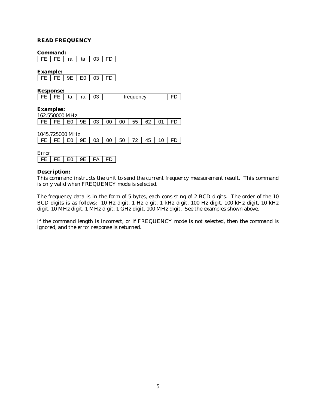#### **READ FREQUENCY**

#### **Command:**

FE FE ra ta 03 FD

**Example:**

|  | 9E. | F۵ | 03 | ED |
|--|-----|----|----|----|

**Response:**

| <br>treauency |  |
|---------------|--|
|---------------|--|

**Examples:**

| 162.550000 MHz                                       |  |  |  |  |  |
|------------------------------------------------------|--|--|--|--|--|
| FE   FE   E0   9E   03   00   00   55   62   01   FD |  |  |  |  |  |

1045.725000 MHz

| FE   FE   E0   9E   03   00   50   72   45   10   FD |  |  |  |  |  |  |  |  |  |  |
|------------------------------------------------------|--|--|--|--|--|--|--|--|--|--|
|------------------------------------------------------|--|--|--|--|--|--|--|--|--|--|

| ±rror |   |    |  |     |
|-------|---|----|--|-----|
|       | ᄕ | ⊏∩ |  | . . |

### **Description:**

This command instructs the unit to send the current frequency measurement result. This command is only valid when FREQUENCY mode is selected.

The frequency data is in the form of 5 bytes, each consisting of 2 BCD digits. The order of the 10 BCD digits is as follows: 10 Hz digit, 1 Hz digit, 1 kHz digit, 100 Hz digit, 100 kHz digit, 10 kHz digit, 10 MHz digit, 1 MHz digit, 1 GHz digit, 100 MHz digit. See the examples shown above.

If the command length is incorrect, or if FREQUENCY mode is not selected, then the command is ignored, and the error response is returned.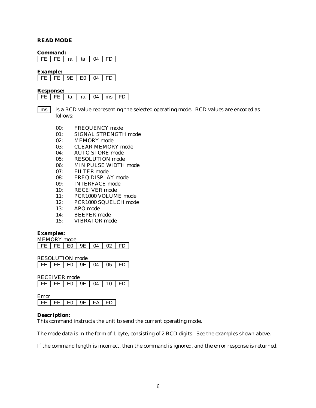### **READ MODE**

#### **Command:**

FE FE ra ta 04 FD

**Example:**

|  | ⊸. | F۵ | $\bigcap$ |  |
|--|----|----|-----------|--|

#### **Response:**

- is a BCD value representing the selected operating mode. BCD values are encoded as follows: ms
	- 00: FREQUENCY mode
	- 01: SIGNAL STRENGTH mode
	- 02: MEMORY mode
	- 03: CLEAR MEMORY mode
	- 04: AUTO STORE mode
	- 05: RESOLUTION mode
	- 06: MIN PULSE WIDTH mode
	- 07: FILTER mode
	- 08: FREQ DISPLAY mode
	- 09: INTERFACE mode
	- 10: RECEIVER mode
	- 11: PCR1000 VOLUME mode
	- 12: PCR1000 SQUELCH mode
	- 13: APO mode
	- 14: BEEPER mode
	- 15: VIBRATOR mode

## **Examples:**

MEMORY mode FE FE E0 9E 04 02 FD

RESOLUTION mode

RECEIVER mode FE FE E0 9E 04 10 FD

Error FE FE E0 9E FA FD

### **Description:**

This command instructs the unit to send the current operating mode.

The mode data is in the form of 1 byte, consisting of 2 BCD digits. See the examples shown above.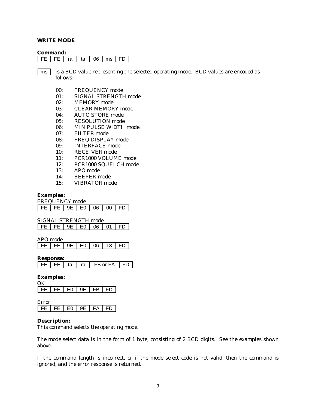#### **WRITE MODE**

#### **Command:**

FE | FE | ra | ta | 06 | ms | FD |

is a BCD value representing the selected operating mode. BCD values are encoded as follows: ms

- 00: FREQUENCY mode
- 01: SIGNAL STRENGTH mode
- 02: MEMORY mode
- 03: CLEAR MEMORY mode
- 04: AUTO STORE mode
- 05: RESOLUTION mode
- 06: MIN PULSE WIDTH mode
- 07: FILTER mode
- 08: FREQ DISPLAY mode
- 09: INTERFACE mode
- 10: RECEIVER mode
- 11: PCR1000 VOLUME mode
- 12: PCR1000 SQUELCH mode
- 13: APO mode
- 14: BEEPER mode
- 15: VIBRATOR mode

## **Examples:**

FREQUENCY mode

FE FE 9E E0 06 00 FD

SIGNAL STRENGTH mode

| 06<br>-91 |
|-----------|
|-----------|

APO mode

FE FE 9E E0 06 13 FD

**Response:**

| FΑ<br>or. |
|-----------|
|-----------|

#### **Examples:**

| FF 1 | 도는 그 | ิ⊫∩ ∶ | ⊏ ⊏ | FB. | FD |
|------|------|-------|-----|-----|----|

Error  $\mid$  FE  $\mid$  FE  $\mid$  E0  $\mid$  9E  $\mid$  FA  $\mid$  FD

#### **Description:**

This command selects the operating mode.

The mode select data is in the form of 1 byte, consisting of 2 BCD digits. See the examples shown above.

If the command length is incorrect, or if the mode select code is not valid, then the command is ignored, and the error response is returned.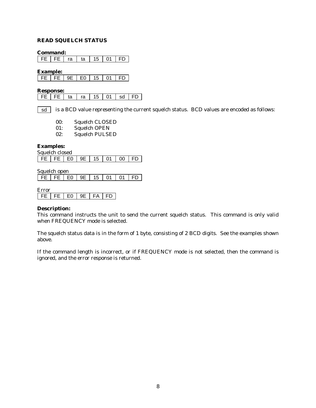## **READ SQUELCH STATUS**

**Command:**

FE FE ra ta 15 01 FD

**Example:**

| l FF III | $FF \perp 9F$ | 15 | ∩1 · |  |
|----------|---------------|----|------|--|

#### **Response:**

| FE   FE   ta   ra   15   01   sd   FD |  |  |  |
|---------------------------------------|--|--|--|
|                                       |  |  |  |

is a BCD value representing the current squelch status. BCD values are encoded as follows: sd

00: Squelch CLOSED

01: Squelch OPEN

02: Squelch PULSED

## **Examples:**

| Squelch closed                        |  |  |  |  |  |  |  |  |  |  |
|---------------------------------------|--|--|--|--|--|--|--|--|--|--|
| IFE IFE IEO I 9E I 15 I 01 I 00 IFD I |  |  |  |  |  |  |  |  |  |  |

Squelch open

| FE   FE   E0   9E   15   01   01   FD |  |
|---------------------------------------|--|
|---------------------------------------|--|

Error

 $FE$   $FE$   $E0$   $9E$   $FA$   $FD$ 

#### **Description:**

This command instructs the unit to send the current squelch status. This command is only valid when FREQUENCY mode is selected.

The squelch status data is in the form of 1 byte, consisting of 2 BCD digits. See the examples shown above.

If the command length is incorrect, or if FREQUENCY mode is not selected, then the command is ignored, and the error response is returned.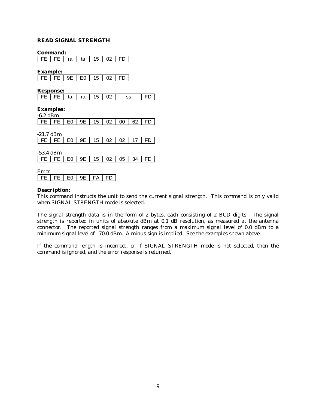## **READ SIGNAL STRENGTH**

**Command:**

FE FE ra ta 15 02 FD

**Example:**

|  |  | FE   FE   9E   E0   15   02   FD |  |
|--|--|----------------------------------|--|

**Response:**

|  |  |  |  |  |  | FE   FE   ta   ra   15   02   ss | I FD I |
|--|--|--|--|--|--|----------------------------------|--------|
|--|--|--|--|--|--|----------------------------------|--------|

**Examples:**

| $-6.2$ dBm  |             |                |    |    |     |    |    |    |  |  |
|-------------|-------------|----------------|----|----|-----|----|----|----|--|--|
| <b>FE</b>   | FE          | E <sub>0</sub> | 9E | 15 | 02  | 00 | 62 | FD |  |  |
|             |             |                |    |    |     |    |    |    |  |  |
|             | $-21.7$ dBm |                |    |    |     |    |    |    |  |  |
| FE          | FE          | E0             | 9Ε | 15 | 02  | 02 | 17 | FD |  |  |
|             |             |                |    |    |     |    |    |    |  |  |
| $-53.4$ dBm |             |                |    |    |     |    |    |    |  |  |
| FE          | FE          | E <sub>0</sub> | 9E | 15 | 02  | 05 | 34 | FD |  |  |
|             |             |                |    |    |     |    |    |    |  |  |
| Error       |             |                |    |    |     |    |    |    |  |  |
| FE          | FE.         | F۵             | 9Ε | FA | ED. |    |    |    |  |  |

#### **Description:**

This command instructs the unit to send the current signal strength. This command is only valid when SIGNAL STRENGTH mode is selected.

The signal strength data is in the form of 2 bytes, each consisting of 2 BCD digits. The signal strength is reported in units of absolute dBm at 0.1 dB resolution, as measured at the antenna connector. The reported signal strength ranges from a maximum signal level of 0.0 dBm to a minimum signal level of -70.0 dBm. A minus sign is implied. See the examples shown above.

If the command length is incorrect, or if SIGNAL STRENGTH mode is not selected, then the command is ignored, and the error response is returned.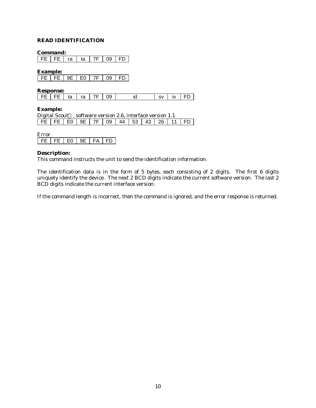## **READ IDENTIFICATION**

#### **Command:**

FE FE ra ta 7F 09 FD

**Example:**

| Ш | - |  | ١۵<br>- |  |
|---|---|--|---------|--|

**Response:**

## **Example:**

| Digital Scout™, software version 2.6, interface version 1.1 |  |  |  |                                          |  |  |  |  |  |  |  |
|-------------------------------------------------------------|--|--|--|------------------------------------------|--|--|--|--|--|--|--|
|                                                             |  |  |  | $FE$ FE FE EO 9E 7F 09 44 53 43 26 11 FD |  |  |  |  |  |  |  |

| $\mathbf{a}$ |     |   |  |
|--------------|-----|---|--|
|              | . . | Ð |  |

## **Description:**

This command instructs the unit to send the identification information.

The identification data is in the form of 5 bytes, each consisting of 2 digits. The first 6 digits uniquely identify the device. The next 2 BCD digits indicate the current software version. The last 2 BCD digits indicate the current interface version.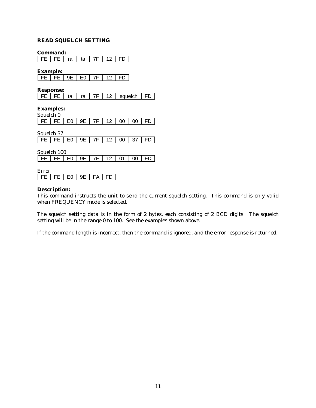## **READ SQUELCH SETTING**

**Command:**

 $\sqrt{FE}$  FE  $ra$  ta  $7F$  12 FD

**Example:**

|  |  | FE FE 9E FO F7F | 12 <sup>7</sup> | I ED I |
|--|--|-----------------|-----------------|--------|
|  |  |                 |                 |        |

**Response:**

|  | $\sim$ |  | sauelch |  |
|--|--------|--|---------|--|
|--|--------|--|---------|--|

**Examples:**

| Squelch 0 |  |  |  |                                            |
|-----------|--|--|--|--------------------------------------------|
|           |  |  |  | FE   FE   E0   9E   7F   12   00   00   FD |

Squelch 37

| FE   FE   E0   9E   7F   12 |             |         |  |                |  | 00 | 37 |  |  |  |  |  |
|-----------------------------|-------------|---------|--|----------------|--|----|----|--|--|--|--|--|
|                             |             |         |  |                |  |    |    |  |  |  |  |  |
|                             | Squelch 100 |         |  |                |  |    |    |  |  |  |  |  |
| I FE.                       |             | FE   EO |  | $9E$   7F   12 |  | 01 |    |  |  |  |  |  |
|                             |             |         |  |                |  |    |    |  |  |  |  |  |
| Error                       |             |         |  |                |  |    |    |  |  |  |  |  |

FE FE E0 9E FA FD

## **Description:**

This command instructs the unit to send the current squelch setting. This command is only valid when FREQUENCY mode is selected.

The squelch setting data is in the form of 2 bytes, each consisting of 2 BCD digits. The squelch setting will be in the range 0 to 100. See the examples shown above.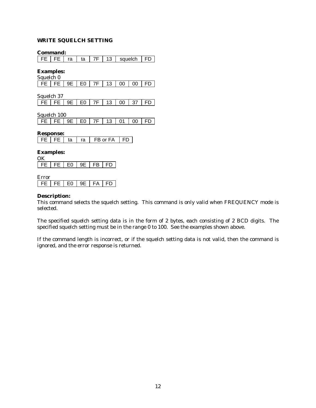## **WRITE SQUELCH SETTING**

#### **Command:**

FE FE ra ta 7F 13 squelch FD

**Examples:**

| Squelch 0                           |  |  |  |  |
|-------------------------------------|--|--|--|--|
| FE FE 9E FE O F7F 1 13 1 00 1 00 FD |  |  |  |  |

Squelch 37 FE FE 9E E0 7F 13 00 37 FD

Squelch 100

| $FE$ FE 9E 60 7F 13 01 00 FD |  |  |  |  |  |  |  |
|------------------------------|--|--|--|--|--|--|--|
|------------------------------|--|--|--|--|--|--|--|

## **Response:**

|  |  | ta | ra | FB or FA | l FD |
|--|--|----|----|----------|------|
|--|--|----|----|----------|------|

## **Examples:**

OK

Error

|  | . . |  |  |
|--|-----|--|--|
|--|-----|--|--|

### **Description:**

This command selects the squelch setting. This command is only valid when FREQUENCY mode is selected.

The specified squelch setting data is in the form of 2 bytes, each consisting of 2 BCD digits. The specified squelch setting must be in the range 0 to 100. See the examples shown above.

If the command length is incorrect, or if the squelch setting data is not valid, then the command is ignored, and the error response is returned.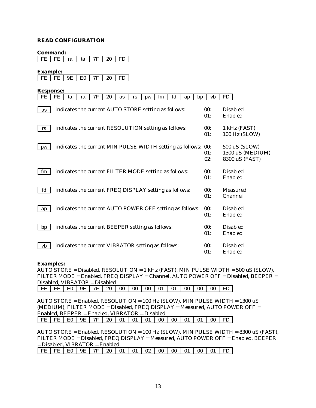## **READ CONFIGURATION**

**Command:**

| FE | FE | ra | ta | 7F | 20 | FD |

**Example:**

|  | - 21 |  | חר |  |
|--|------|--|----|--|
|  |      |  |    |  |

| <b>Response:</b> |           |    |    |                                                               |    |    |    |    |    |    |    |    |            |                                                     |
|------------------|-----------|----|----|---------------------------------------------------------------|----|----|----|----|----|----|----|----|------------|-----------------------------------------------------|
| FE               | <b>FE</b> | ta | ra | 7F                                                            | 20 | as | rs | pw | fm | fd | ap | bp | vb         | FD                                                  |
| as               |           |    |    | indicates the current AUTO STORE setting as follows:          |    |    |    |    |    |    |    |    | 00:<br>01: | <b>Disabled</b><br>Enabled                          |
| rs               |           |    |    | indicates the current RESOLUTION setting as follows:          |    |    |    |    |    |    |    |    | 00:<br>01: | 1 kHz (FAST)<br>100 Hz (SLOW)                       |
| pw               |           |    |    | indicates the current MIN PULSE WIDTH setting as follows: 00: |    |    |    |    |    |    |    |    | 01:<br>02: | 500 uS (SLOW)<br>1300 uS (MEDIUM)<br>8300 uS (FAST) |
| fm               |           |    |    | indicates the current FILTER MODE setting as follows:         |    |    |    |    |    |    |    |    | 00:<br>01: | <b>Disabled</b><br>Enabled                          |
| fd               |           |    |    | indicates the current FREQ DISPLAY setting as follows:        |    |    |    |    |    |    |    |    | 00:<br>01: | Measured<br>Channel                                 |
| ap               |           |    |    | indicates the current AUTO POWER OFF setting as follows:      |    |    |    |    |    |    |    |    | 00:<br>01: | <b>Disabled</b><br>Enabled                          |
| bp               |           |    |    | indicates the current BEEPER setting as follows:              |    |    |    |    |    |    |    |    | 00:<br>01: | <b>Disabled</b><br>Enabled                          |
| vb               |           |    |    | indicates the current VIBRATOR setting as follows:            |    |    |    |    |    |    |    |    | 00:<br>01: | <b>Disabled</b><br>Enabled                          |

#### **Examples:**

AUTO STORE = Disabled, RESOLUTION = 1 kHz (FAST), MIN PULSE WIDTH = 500 uS (SLOW), FILTER MODE = Enabled, FREQ DISPLAY = Channel, AUTO POWER OFF = Disabled, BEEPER = Disabled, VIBRATOR = Disabled FE FE E0 9E 7F 20 00 00 00 01 01 00 00 00 FD

AUTO STORE = Enabled, RESOLUTION = 100 Hz (SLOW), MIN PULSE WIDTH = 1300 uS (MEDIUM), FILTER MODE = Disabled, FREQ DISPLAY = Measured, AUTO POWER OFF = Enabled, BEEPER = Enabled, VIBRATOR = Disabled FE FE E0 9E 7F 20 01 01 01 00 00 01 01 00 FD

AUTO STORE = Enabled, RESOLUTION = 100 Hz (SLOW), MIN PULSE WIDTH = 8300 uS (FAST), FILTER MODE = Disabled, FREQ DISPLAY = Measured, AUTO POWER OFF = Enabled, BEEPER = Disabled, VIBRATOR = Enabled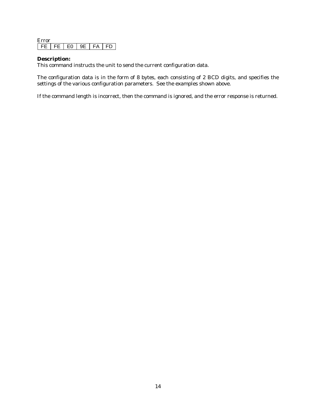| <b>rror</b> |    |  |    |  |
|-------------|----|--|----|--|
|             | ᄂᄂ |  | ٠Δ |  |

## **Description:**

This command instructs the unit to send the current configuration data.

The configuration data is in the form of 8 bytes, each consisting of 2 BCD digits, and specifies the settings of the various configuration parameters. See the examples shown above.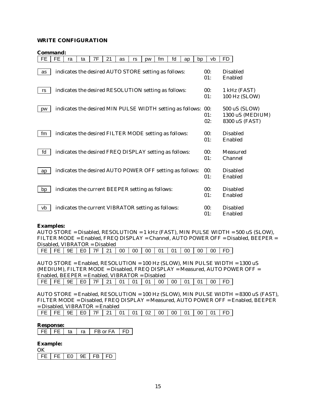## **WRITE CONFIGURATION**

| <b>Command:</b> |
|-----------------|
|-----------------|

| <b>FE</b> | <b>FE</b> | ra | ta | 7F                                                            | 21 | as | rs | pw | fm | fd | ap | bp | vb         | FD                                                  |
|-----------|-----------|----|----|---------------------------------------------------------------|----|----|----|----|----|----|----|----|------------|-----------------------------------------------------|
| as        |           |    |    | indicates the desired AUTO STORE setting as follows:          |    |    |    |    |    |    |    |    | 00:<br>01: | <b>Disabled</b><br>Enabled                          |
| rs        |           |    |    | indicates the desired RESOLUTION setting as follows:          |    |    |    |    |    |    |    |    | 00:<br>01: | 1 kHz (FAST)<br>100 Hz (SLOW)                       |
| pw        |           |    |    | indicates the desired MIN PULSE WIDTH setting as follows: 00: |    |    |    |    |    |    |    |    | 01:<br>02: | 500 uS (SLOW)<br>1300 uS (MEDIUM)<br>8300 uS (FAST) |
| fm        |           |    |    | indicates the desired FILTER MODE setting as follows:         |    |    |    |    |    |    |    |    | 00:<br>01: | <b>Disabled</b><br>Enabled                          |
| fd        |           |    |    | indicates the desired FREQ DISPLAY setting as follows:        |    |    |    |    |    |    |    |    | 00:<br>01: | Measured<br>Channel                                 |
| ap        |           |    |    | indicates the desired AUTO POWER OFF setting as follows:      |    |    |    |    |    |    |    |    | 00:<br>01: | <b>Disabled</b><br>Enabled                          |
| bp        |           |    |    | indicates the current BEEPER setting as follows:              |    |    |    |    |    |    |    |    | 00:<br>01: | <b>Disabled</b><br>Enabled                          |
| vb        |           |    |    | indicates the current VIBRATOR setting as follows:            |    |    |    |    |    |    |    |    | 00:<br>01: | <b>Disabled</b><br>Enabled                          |

#### **Examples:**

AUTO STORE = Disabled, RESOLUTION = 1 kHz (FAST), MIN PULSE WIDTH = 500 uS (SLOW), FILTER MODE = Enabled, FREQ DISPLAY = Channel, AUTO POWER OFF = Disabled, BEEPER = Disabled, VIBRATOR = Disabled

FE FE 9E E0 7F 21 00 00 00 01 01 00 00 00 FD

AUTO STORE = Enabled, RESOLUTION = 100 Hz (SLOW), MIN PULSE WIDTH = 1300 uS (MEDIUM), FILTER MODE = Disabled, FREQ DISPLAY = Measured, AUTO POWER OFF = Enabled, BEEPER = Enabled, VIBRATOR = Disabled FE FE 9E E0 7F 21 01 01 01 00 00 01 01 00 FD

AUTO STORE = Enabled, RESOLUTION = 100 Hz (SLOW), MIN PULSE WIDTH = 8300 uS (FAST), FILTER MODE = Disabled, FREQ DISPLAY = Measured, AUTO POWER OFF = Enabled, BEEPER = Disabled, VIBRATOR = Enabled

FE FE 9E E0 7F 21 01 01 02 00 00 01 00 01 FD

#### **Response:**

FE FE ta ra FB or FA FD

## **Example:**

OK FE FE E0 9E FB FD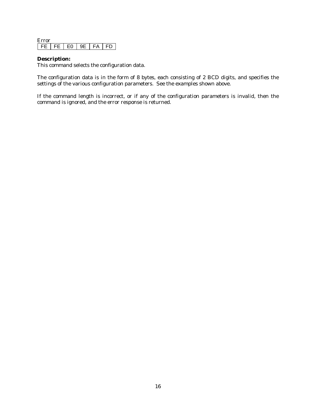| rror |   |    |  |
|------|---|----|--|
| . .  | ┍ | FΑ |  |

## **Description:**

This command selects the configuration data.

The configuration data is in the form of 8 bytes, each consisting of 2 BCD digits, and specifies the settings of the various configuration parameters. See the examples shown above.

If the command length is incorrect, or if any of the configuration parameters is invalid, then the command is ignored, and the error response is returned.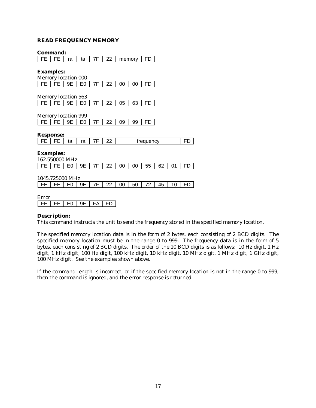## **READ FREQUENCY MEMORY**

| Command:                   |    |    |                |    |                 |          |           |    |
|----------------------------|----|----|----------------|----|-----------------|----------|-----------|----|
| FE                         | FE | ra | ta             | 7F | 22 <sub>2</sub> | memory   | FD        |    |
|                            |    |    |                |    |                 |          |           |    |
| <b>Examples:</b>           |    |    |                |    |                 |          |           |    |
| <b>Memory location 000</b> |    |    |                |    |                 |          |           |    |
| FE.                        | FE | 9E | E0             | 7F | 22              | 00<br>00 | FD        |    |
|                            |    |    |                |    |                 |          |           |    |
| <b>Memory location 563</b> |    |    |                |    |                 |          |           |    |
| FE                         | FE | 9E | E <sub>0</sub> | 7F | 22              | 63<br>05 | FD        |    |
|                            |    |    |                |    |                 |          |           |    |
| <b>Memory location 999</b> |    |    |                |    |                 |          |           |    |
| FE                         | FE | 9E | E0             | 7F | 22              | 09<br>99 | FD        |    |
|                            |    |    |                |    |                 |          |           |    |
| <b>Response:</b>           |    |    |                |    |                 |          |           |    |
| FE.                        | FE | ta | ra             | 7F | 22              |          | frequency | FD |
|                            |    |    |                |    |                 |          |           |    |
| <b>Examples:</b>           |    |    |                |    |                 |          |           |    |

| 162.550000 MHz                             |  |  |  |  |  |  |  |  |     |  |  |
|--------------------------------------------|--|--|--|--|--|--|--|--|-----|--|--|
| FE   FE   E0   9E   7F   22   00   00   55 |  |  |  |  |  |  |  |  | 62. |  |  |
|                                            |  |  |  |  |  |  |  |  |     |  |  |

| 1045.725000 MHz                                      |  |  |  |  |  |  |  |  |  |  |      |
|------------------------------------------------------|--|--|--|--|--|--|--|--|--|--|------|
| FE   FE   E0   9E   7F   22   00   50   72   45   10 |  |  |  |  |  |  |  |  |  |  | l FD |

Error FE FE E0 9E FA FD

## **Description:**

This command instructs the unit to send the frequency stored in the specified memory location.

The specified memory location data is in the form of 2 bytes, each consisting of 2 BCD digits. The specified memory location must be in the range 0 to 999. The frequency data is in the form of 5 bytes, each consisting of 2 BCD digits. The order of the 10 BCD digits is as follows: 10 Hz digit, 1 Hz digit, 1 kHz digit, 100 Hz digit, 100 kHz digit, 10 kHz digit, 10 MHz digit, 1 MHz digit, 1 GHz digit, 100 MHz digit. See the examples shown above.

If the command length is incorrect, or if the specified memory location is not in the range 0 to 999, then the command is ignored, and the error response is returned.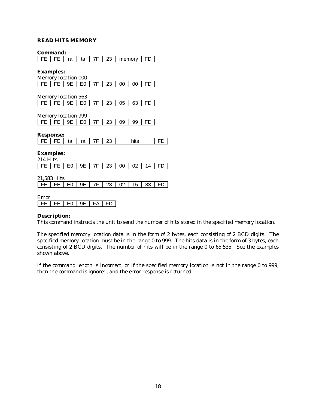## **READ HITS MEMORY**

|                  | <b>Command:</b>            |    |    |    |    |    |        |    |           |
|------------------|----------------------------|----|----|----|----|----|--------|----|-----------|
| FE               | FE                         | ra | ta | 7F | 23 |    | memory | FD |           |
| <b>Examples:</b> | Memory location 000        |    |    |    |    |    |        |    |           |
| FE               | FE                         | 9Ε | E0 | 7F | 23 | 00 | 00     | FD |           |
|                  | <b>Memory location 563</b> |    |    |    |    |    |        |    |           |
| <b>FE</b>        | FE                         | 9Ε | E0 | 7F | 23 | 05 | 63     | FD |           |
|                  | <b>Memory location 999</b> |    |    |    |    |    |        |    |           |
| <b>FE</b>        | FE                         | 9Ε | E0 | 7F | 23 | 09 | 99     | FD |           |
|                  | <b>Response:</b>           |    |    |    |    |    |        |    |           |
| <b>FE</b>        | FE                         | ta | ra | 7F | 23 |    | hits   |    | FD        |
| 214 Hits         | <b>Examples:</b>           |    |    |    |    |    |        |    |           |
| FE               | FE                         | E0 | 9Ε | 7F | 23 | 00 | 02     | 14 | <b>FD</b> |
|                  | 21,583 Hits                |    |    |    |    |    |        |    |           |
| FE               | FE                         | E0 | 9Ε | 7F | 23 | 02 | 15     | 83 | <b>FD</b> |
| Error            |                            |    |    |    |    |    |        |    |           |
| FE               | FE                         | E0 | 9Ε | FA | FD |    |        |    |           |

## **Description:**

This command instructs the unit to send the number of hits stored in the specified memory location.

The specified memory location data is in the form of 2 bytes, each consisting of 2 BCD digits. The specified memory location must be in the range 0 to 999. The hits data is in the form of 3 bytes, each consisting of 2 BCD digits. The number of hits will be in the range 0 to 65,535. See the examples shown above.

If the command length is incorrect, or if the specified memory location is not in the range 0 to 999, then the command is ignored, and the error response is returned.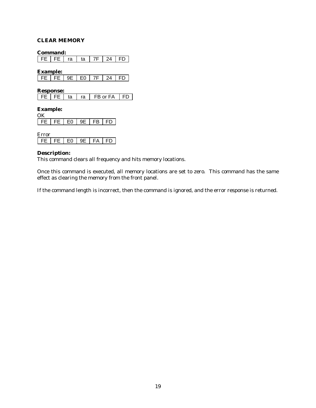## **CLEAR MEMORY**

**Command:**

FE FE ra ta 7F 24 FD

**Example:**

|  |  |  | $\lambda$ |  |
|--|--|--|-----------|--|
|  |  |  |           |  |

**Response:**

|  |  | ta | ra | FB or FA | I FD. |
|--|--|----|----|----------|-------|
|--|--|----|----|----------|-------|

**Example:**  $\overline{OK}$ 

| . |     |    |    |  |
|---|-----|----|----|--|
|   | F٨. | ıг | FR |  |

| H I II |    |    |  |
|--------|----|----|--|
|        | F٨ | Ч⊃ |  |

## **Description:**

This command clears all frequency and hits memory locations.

Once this command is executed, all memory locations are set to zero. This command has the same effect as clearing the memory from the front panel.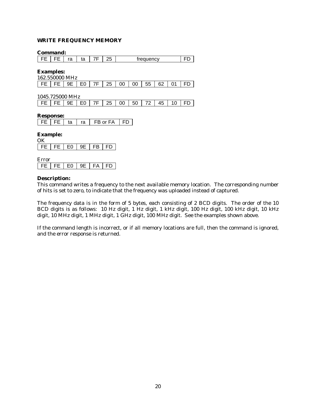## **WRITE FREQUENCY MEMORY**

#### **Command:**

FE FE ra ta 7F 25 frequency FD

**Examples:**

| 162.550000 MHz |  |  |  |  |  |  |  |  |                                                           |  |  |
|----------------|--|--|--|--|--|--|--|--|-----------------------------------------------------------|--|--|
|                |  |  |  |  |  |  |  |  | FE   FE   9E   E0   7F   25   00   00   55   62   01   FD |  |  |

1045.725000 MHz

FE FE 9E E0 7F 25 00 50 72 45 10 FD

### **Response:**

| ʻа<br>ю | FB or FA |
|---------|----------|
|---------|----------|

#### **Example:**  $\alpha$

| $\cdots$ |    |              |    |  |
|----------|----|--------------|----|--|
|          | E٥ | ∩⊏<br>– en m | FR |  |

| rror |  |  |  |    |  |  |  |
|------|--|--|--|----|--|--|--|
| . .  |  |  |  | ٠Δ |  |  |  |

#### **Description:**

This command writes a frequency to the next available memory location. The corresponding number of hits is set to zero, to indicate that the frequency was uploaded instead of captured.

The frequency data is in the form of 5 bytes, each consisting of 2 BCD digits. The order of the 10 BCD digits is as follows: 10 Hz digit, 1 Hz digit, 1 kHz digit, 100 Hz digit, 100 kHz digit, 10 kHz digit, 10 MHz digit, 1 MHz digit, 1 GHz digit, 100 MHz digit. See the examples shown above.

If the command length is incorrect, or if all memory locations are full, then the command is ignored, and the error response is returned.